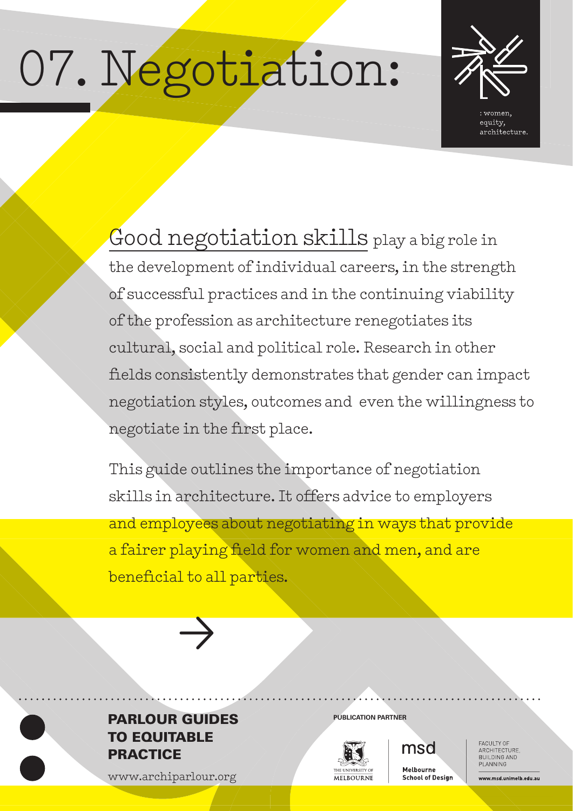# 07. Negotiation:



Good negotiation skills play a big role in the development of individual careers, in the strength of successful practices and in the continuing viability of the profession as architecture renegotiates its cultural, social and political role. Research in other fields consistently demonstrates that gender can impact negotiation styles, outcomes and even the willingness to negotiate in the first place.

This guide outlines the importance of negotiation skills in architecture. It offers advice to employers and employees about negotiating in ways that provide a fairer playing field for women and men, and are beneficial to all parties.



#### **PARLOUR GUIDES** PUBLICATION PARTNER TO EQUITABLE **PRACTICE**

www.archiparlour.org



msd

Melbourne **School of Design**  FACULTY OF<br>ARCHITECTURE, BUILDING AND PI ANNING

www.msd.unimelb.edu.au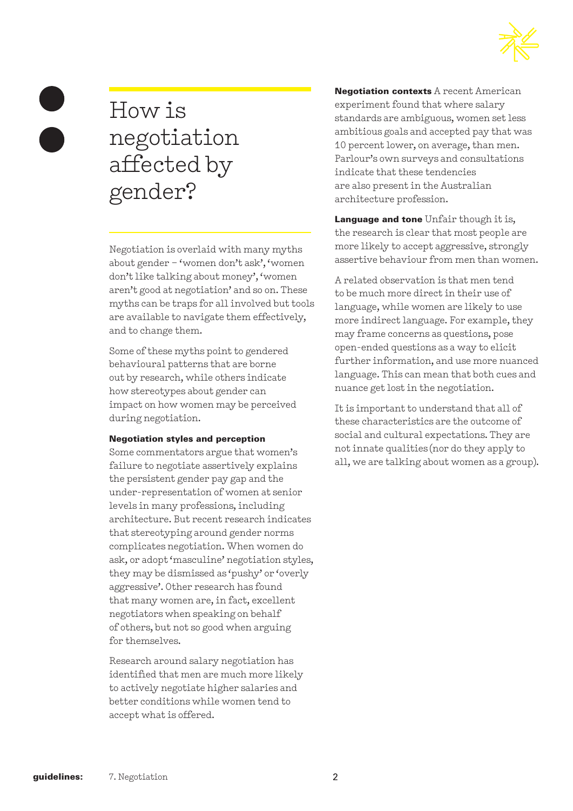

## How is negotiation affected by gender?

Negotiation is overlaid with many myths about gender – 'women don't ask', 'women don't like talking about money', 'women aren't good at negotiation' and so on. These myths can be traps for all involved but tools are available to navigate them effectively, and to change them.

Some of these myths point to gendered behavioural patterns that are borne out by research, while others indicate how stereotypes about gender can impact on how women may be perceived during negotiation.

#### Negotiation styles and perception

Some commentators argue that women's failure to negotiate assertively explains the persistent gender pay gap and the under-representation of women at senior levels in many professions, including architecture. But recent research indicates that stereotyping around gender norms complicates negotiation. When women do ask, or adopt 'masculine' negotiation styles, they may be dismissed as 'pushy' or 'overly aggressive'. Other research has found that many women are, in fact, excellent negotiators when speaking on behalf of others, but not so good when arguing for themselves.

Research around salary negotiation has identified that men are much more likely to actively negotiate higher salaries and better conditions while women tend to accept what is offered.

Negotiation contexts A recent American experiment found that where salary standards are ambiguous, women set less ambitious goals and accepted pay that was 10 percent lower, on average, than men. Parlour's own surveys and consultations indicate that these tendencies are also present in the Australian architecture profession.

Language and tone Unfair though it is, the research is clear that most people are more likely to accept aggressive, strongly assertive behaviour from men than women.

A related observation is that men tend to be much more direct in their use of language, while women are likely to use more indirect language. For example, they may frame concerns as questions, pose open-ended questions as a way to elicit further information, and use more nuanced language. This can mean that both cues and nuance get lost in the negotiation.

It is important to understand that all of these characteristics are the outcome of social and cultural expectations. They are not innate qualities (nor do they apply to all, we are talking about women as a group).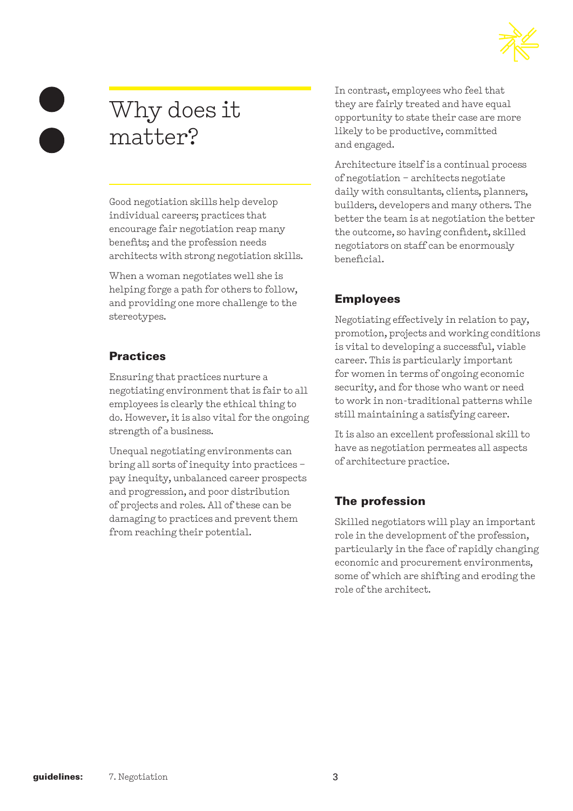

## Why does it matter?

Good negotiation skills help develop individual careers; practices that encourage fair negotiation reap many benefits; and the profession needs architects with strong negotiation skills.

When a woman negotiates well she is helping forge a path for others to follow, and providing one more challenge to the stereotypes.

#### **Practices**

Ensuring that practices nurture a negotiating environment that is fair to all employees is clearly the ethical thing to do. However, it is also vital for the ongoing strength of a business.

Unequal negotiating environments can bring all sorts of inequity into practices – pay inequity, unbalanced career prospects and progression, and poor distribution of projects and roles. All of these can be damaging to practices and prevent them from reaching their potential.

In contrast, employees who feel that they are fairly treated and have equal opportunity to state their case are more likely to be productive, committed and engaged.

Architecture itself is a continual process of negotiation – architects negotiate daily with consultants, clients, planners, builders, developers and many others. The better the team is at negotiation the better the outcome, so having confident, skilled negotiators on staff can be enormously beneficial.

#### Employees

Negotiating effectively in relation to pay, promotion, projects and working conditions is vital to developing a successful, viable career. This is particularly important for women in terms of ongoing economic security, and for those who want or need to work in non-traditional patterns while still maintaining a satisfying career.

It is also an excellent professional skill to have as negotiation permeates all aspects of architecture practice.

#### The profession

Skilled negotiators will play an important role in the development of the profession, particularly in the face of rapidly changing economic and procurement environments, some of which are shifting and eroding the role of the architect.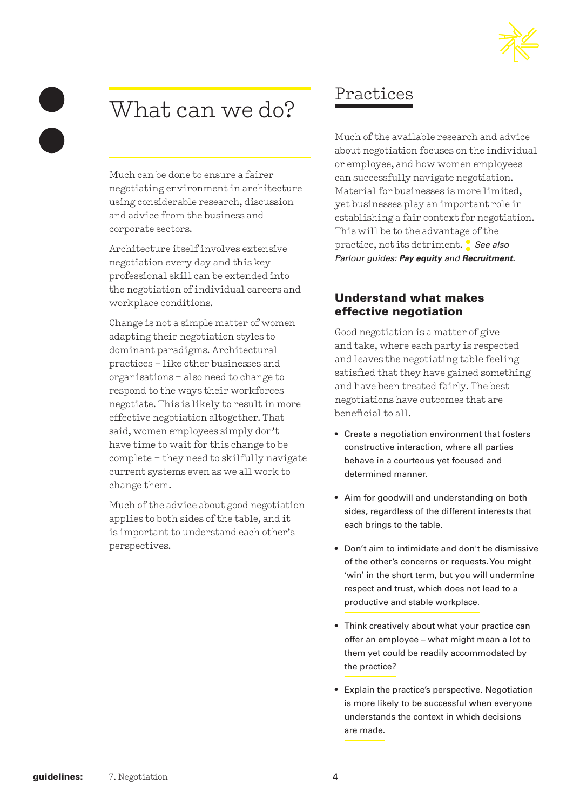## What can we do?

Much can be done to ensure a fairer negotiating environment in architecture using considerable research, discussion and advice from the business and corporate sectors.

Architecture itself involves extensive negotiation every day and this key professional skill can be extended into the negotiation of individual careers and workplace conditions.

Change is not a simple matter of women adapting their negotiation styles to dominant paradigms. Architectural practices – like other businesses and organisations – also need to change to respond to the ways their workforces negotiate. This is likely to result in more effective negotiation altogether. That said, women employees simply don't have time to wait for this change to be complete – they need to skilfully navigate current systems even as we all work to change them.

Much of the advice about good negotiation applies to both sides of the table, and it is important to understand each other's perspectives.

## Practices

Much of the available research and advice about negotiation focuses on the individual or employee, and how women employees can successfully navigate negotiation. Material for businesses is more limited, yet businesses play an important role in establishing a fair context for negotiation. This will be to the advantage of the practice, not its detriment. **:** *See also Parlour guides: Pay equity and Recruitment.*

#### Understand what makes effective negotiation

Good negotiation is a matter of give and take, where each party is respected and leaves the negotiating table feeling satisfied that they have gained something and have been treated fairly. The best negotiations have outcomes that are beneficial to all.

- Create a negotiation environment that fosters constructive interaction, where all parties behave in a courteous yet focused and determined manner.
- Aim for goodwill and understanding on both sides, regardless of the different interests that each brings to the table.
- Don't aim to intimidate and don't be dismissive of the other's concerns or requests. You might 'win' in the short term, but you will undermine respect and trust, which does not lead to a productive and stable workplace.
- Think creatively about what your practice can offer an employee – what might mean a lot to them yet could be readily accommodated by the practice?
- Explain the practice's perspective. Negotiation is more likely to be successful when everyone understands the context in which decisions are made.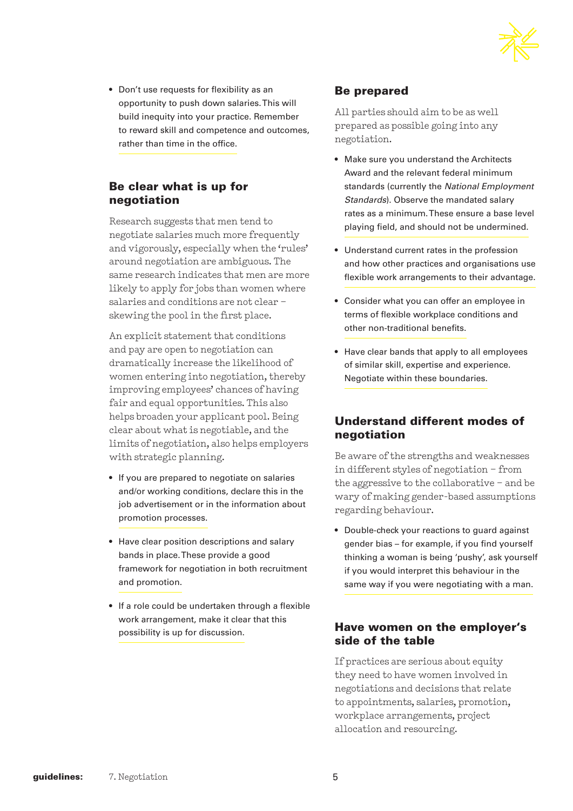

• Don't use requests for flexibility as an opportunity to push down salaries. This will build inequity into your practice. Remember to reward skill and competence and outcomes, rather than time in the office.

#### Be clear what is up for negotiation

Research suggests that men tend to negotiate salaries much more frequently and vigorously, especially when the 'rules' around negotiation are ambiguous. The same research indicates that men are more likely to apply for jobs than women where salaries and conditions are not clear – skewing the pool in the first place.

An explicit statement that conditions and pay are open to negotiation can dramatically increase the likelihood of women entering into negotiation, thereby improving employees' chances of having fair and equal opportunities. This also helps broaden your applicant pool. Being clear about what is negotiable, and the limits of negotiation, also helps employers with strategic planning.

- If you are prepared to negotiate on salaries and/or working conditions, declare this in the job advertisement or in the information about promotion processes.
- Have clear position descriptions and salary bands in place. These provide a good framework for negotiation in both recruitment and promotion.
- If a role could be undertaken through a flexible work arrangement, make it clear that this possibility is up for discussion.

#### Be prepared

All parties should aim to be as well prepared as possible going into any negotiation.

- Make sure you understand the Architects Award and the relevant federal minimum standards (currently the *National Employment Standards*). Observe the mandated salary rates as a minimum. These ensure a base level playing field, and should not be undermined.
- Understand current rates in the profession and how other practices and organisations use flexible work arrangements to their advantage.
- Consider what you can offer an employee in terms of flexible workplace conditions and other non-traditional benefits.
- Have clear bands that apply to all employees of similar skill, expertise and experience. Negotiate within these boundaries.

#### Understand different modes of negotiation

Be aware of the strengths and weaknesses in different styles of negotiation – from the aggressive to the collaborative – and be wary of making gender-based assumptions regarding behaviour.

• Double-check your reactions to guard against gender bias – for example, if you find yourself thinking a woman is being 'pushy', ask yourself if you would interpret this behaviour in the same way if you were negotiating with a man.

#### Have women on the employer's side of the table

If practices are serious about equity they need to have women involved in negotiations and decisions that relate to appointments, salaries, promotion, workplace arrangements, project allocation and resourcing.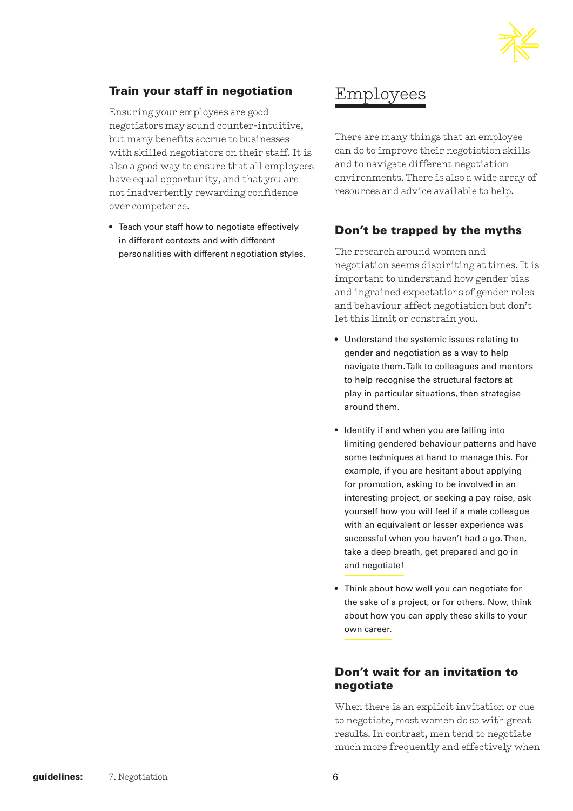

#### Train your staff in negotiation

Ensuring your employees are good negotiators may sound counter-intuitive, but many benefits accrue to businesses with skilled negotiators on their staff. It is also a good way to ensure that all employees have equal opportunity, and that you are not inadvertently rewarding confidence over competence.

• Teach your staff how to negotiate effectively in different contexts and with different personalities with different negotiation styles.

## Employees

There are many things that an employee can do to improve their negotiation skills and to navigate different negotiation environments. There is also a wide array of resources and advice available to help.

#### Don't be trapped by the myths

The research around women and negotiation seems dispiriting at times. It is important to understand how gender bias and ingrained expectations of gender roles and behaviour affect negotiation but don't let this limit or constrain you.

- Understand the systemic issues relating to gender and negotiation as a way to help navigate them. Talk to colleagues and mentors to help recognise the structural factors at play in particular situations, then strategise around them.
- Identify if and when you are falling into limiting gendered behaviour patterns and have some techniques at hand to manage this. For example, if you are hesitant about applying for promotion, asking to be involved in an interesting project, or seeking a pay raise, ask yourself how you will feel if a male colleague with an equivalent or lesser experience was successful when you haven't had a go. Then, take a deep breath, get prepared and go in and negotiate!
- Think about how well you can negotiate for the sake of a project, or for others. Now, think about how you can apply these skills to your own career.

#### Don't wait for an invitation to negotiate

When there is an explicit invitation or cue to negotiate, most women do so with great results. In contrast, men tend to negotiate much more frequently and effectively when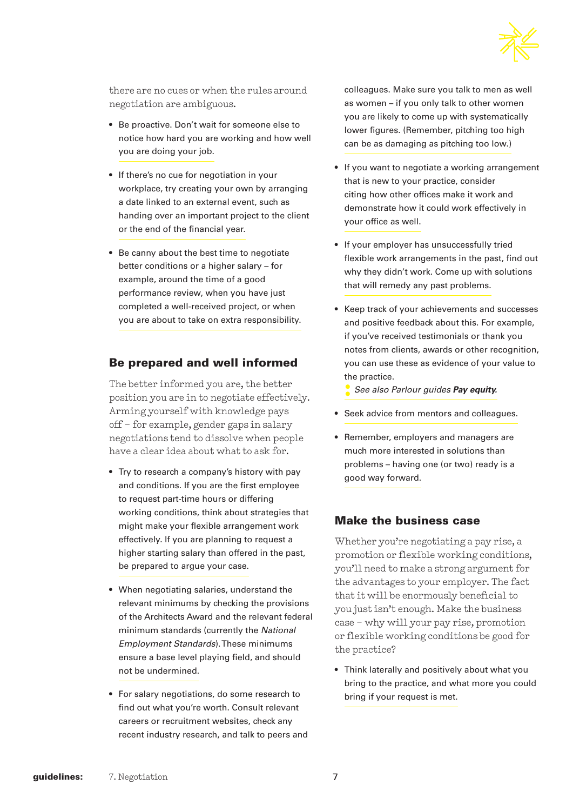

there are no cues or when the rules around negotiation are ambiguous.

- Be proactive. Don't wait for someone else to notice how hard you are working and how well you are doing your job.
- If there's no cue for negotiation in your workplace, try creating your own by arranging a date linked to an external event, such as handing over an important project to the client or the end of the financial year.
- Be canny about the best time to negotiate better conditions or a higher salary – for example, around the time of a good performance review, when you have just completed a well-received project, or when you are about to take on extra responsibility.

#### Be prepared and well informed

The better informed you are, the better position you are in to negotiate effectively. Arming yourself with knowledge pays off – for example, gender gaps in salary negotiations tend to dissolve when people have a clear idea about what to ask for.

- Try to research a company's history with pay and conditions. If you are the first employee to request part-time hours or differing working conditions, think about strategies that might make your flexible arrangement work effectively. If you are planning to request a higher starting salary than offered in the past, be prepared to argue your case.
- When negotiating salaries, understand the relevant minimums by checking the provisions of the Architects Award and the relevant federal minimum standards (currently the *National Employment Standards*). These minimums ensure a base level playing field, and should not be undermined.
- For salary negotiations, do some research to find out what you're worth. Consult relevant careers or recruitment websites, check any recent industry research, and talk to peers and

colleagues. Make sure you talk to men as well as women – if you only talk to other women you are likely to come up with systematically lower figures. (Remember, pitching too high can be as damaging as pitching too low.)

- If you want to negotiate a working arrangement that is new to your practice, consider citing how other offices make it work and demonstrate how it could work effectively in your office as well.
- If your employer has unsuccessfully tried flexible work arrangements in the past, find out why they didn't work. Come up with solutions that will remedy any past problems.
- Keep track of your achievements and successes and positive feedback about this. For example, if you've received testimonials or thank you notes from clients, awards or other recognition, you can use these as evidence of your value to the practice.
	- **:** *See also Parlour guides Pay equity.*
- Seek advice from mentors and colleagues.
- Remember, employers and managers are much more interested in solutions than problems – having one (or two) ready is a good way forward.

#### Make the business case

Whether you're negotiating a pay rise, a promotion or flexible working conditions, you'll need to make a strong argument for the advantages to your employer. The fact that it will be enormously beneficial to you just isn't enough. Make the business case – why will your pay rise, promotion or flexible working conditions be good for the practice?

• Think laterally and positively about what you bring to the practice, and what more you could bring if your request is met.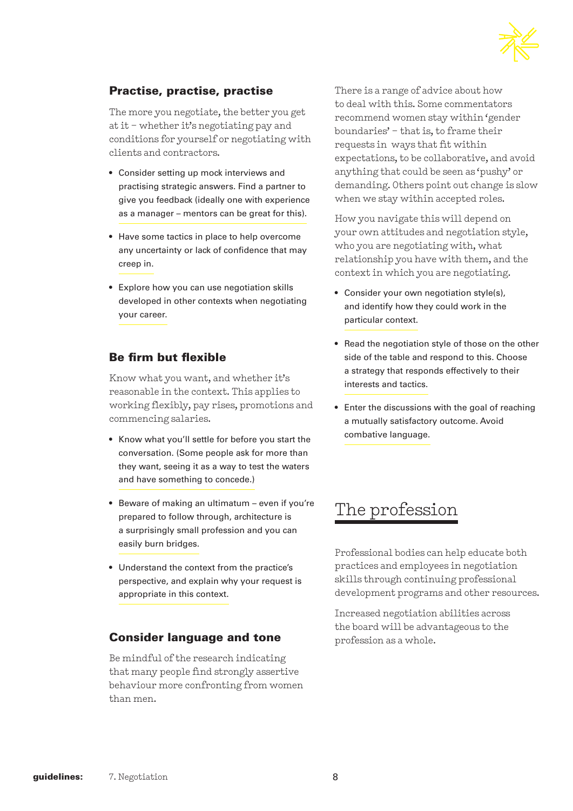

#### Practise, practise, practise

The more you negotiate, the better you get at it – whether it's negotiating pay and conditions for yourself or negotiating with clients and contractors.

- Consider setting up mock interviews and practising strategic answers. Find a partner to give you feedback (ideally one with experience as a manager – mentors can be great for this).
- Have some tactics in place to help overcome any uncertainty or lack of confidence that may creep in.
- Explore how you can use negotiation skills developed in other contexts when negotiating your career.

#### Be firm but flexible

Know what you want, and whether it's reasonable in the context. This applies to working flexibly, pay rises, promotions and commencing salaries.

- Know what you'll settle for before you start the conversation. (Some people ask for more than they want, seeing it as a way to test the waters and have something to concede.)
- Beware of making an ultimatum even if you're prepared to follow through, architecture is a surprisingly small profession and you can easily burn bridges.
- Understand the context from the practice's perspective, and explain why your request is appropriate in this context.

#### Consider language and tone

Be mindful of the research indicating that many people find strongly assertive behaviour more confronting from women than men.

There is a range of advice about how to deal with this. Some commentators recommend women stay within 'gender boundaries' – that is, to frame their requests in ways that fit within expectations, to be collaborative, and avoid anything that could be seen as 'pushy' or demanding. Others point out change is slow when we stay within accepted roles.

How you navigate this will depend on your own attitudes and negotiation style, who you are negotiating with, what relationship you have with them, and the context in which you are negotiating.

- Consider your own negotiation style(s), and identify how they could work in the particular context.
- Read the negotiation style of those on the other side of the table and respond to this. Choose a strategy that responds effectively to their interests and tactics.
- Enter the discussions with the goal of reaching a mutually satisfactory outcome. Avoid combative language.

### The profession

Professional bodies can help educate both practices and employees in negotiation skills through continuing professional development programs and other resources.

Increased negotiation abilities across the board will be advantageous to the profession as a whole.